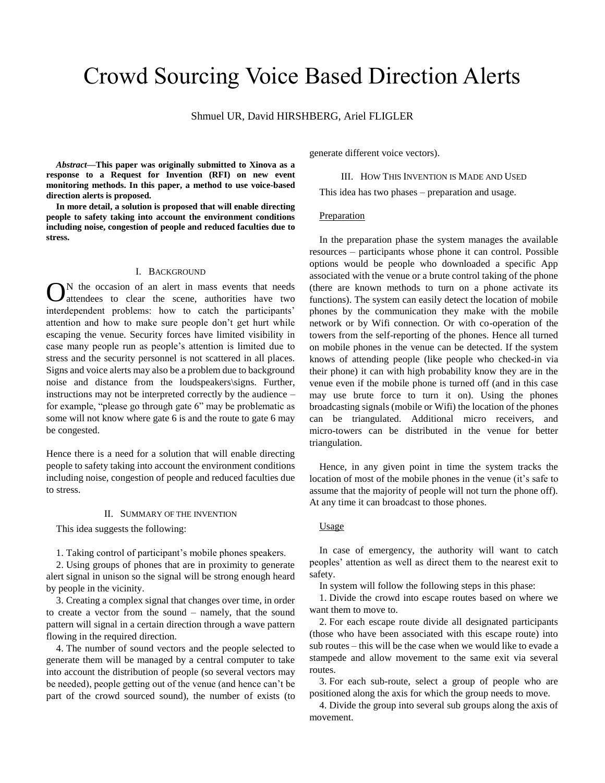# Crowd Sourcing Voice Based Direction Alerts

# Shmuel UR, David HIRSHBERG, Ariel FLIGLER

*Abstract***—This paper was originally submitted to Xinova as a response to a Request for Invention (RFI) on new event monitoring methods. In this paper, a method to use voice-based direction alerts is proposed.** 

**In more detail, a solution is proposed that will enable directing people to safety taking into account the environment conditions including noise, congestion of people and reduced faculties due to stress.**

### I. BACKGROUND

N the occasion of an alert in mass events that needs attendees to clear the scene, authorities have two interdependent problems: how to catch the participants' attention and how to make sure people don't get hurt while escaping the venue. Security forces have limited visibility in case many people run as people's attention is limited due to stress and the security personnel is not scattered in all places. Signs and voice alerts may also be a problem due to background noise and distance from the loudspeakers\signs. Further, instructions may not be interpreted correctly by the audience – for example, "please go through gate 6" may be problematic as some will not know where gate 6 is and the route to gate 6 may be congested. O

Hence there is a need for a solution that will enable directing people to safety taking into account the environment conditions including noise, congestion of people and reduced faculties due to stress.

#### II. SUMMARY OF THE INVENTION

This idea suggests the following:

1. Taking control of participant's mobile phones speakers.

2. Using groups of phones that are in proximity to generate alert signal in unison so the signal will be strong enough heard by people in the vicinity.

3. Creating a complex signal that changes over time, in order to create a vector from the sound – namely, that the sound pattern will signal in a certain direction through a wave pattern flowing in the required direction.

4. The number of sound vectors and the people selected to generate them will be managed by a central computer to take into account the distribution of people (so several vectors may be needed), people getting out of the venue (and hence can't be part of the crowd sourced sound), the number of exists (to

generate different voice vectors).

#### III. HOW THIS INVENTION IS MADE AND USED

This idea has two phases – preparation and usage.

## Preparation

In the preparation phase the system manages the available resources – participants whose phone it can control. Possible options would be people who downloaded a specific App associated with the venue or a brute control taking of the phone (there are known methods to turn on a phone activate its functions). The system can easily detect the location of mobile phones by the communication they make with the mobile network or by Wifi connection. Or with co-operation of the towers from the self-reporting of the phones. Hence all turned on mobile phones in the venue can be detected. If the system knows of attending people (like people who checked-in via their phone) it can with high probability know they are in the venue even if the mobile phone is turned off (and in this case may use brute force to turn it on). Using the phones broadcasting signals (mobile or Wifi) the location of the phones can be triangulated. Additional micro receivers, and micro-towers can be distributed in the venue for better triangulation.

Hence, in any given point in time the system tracks the location of most of the mobile phones in the venue (it's safe to assume that the majority of people will not turn the phone off). At any time it can broadcast to those phones.

## Usage

In case of emergency, the authority will want to catch peoples' attention as well as direct them to the nearest exit to safety.

In system will follow the following steps in this phase:

1. Divide the crowd into escape routes based on where we want them to move to.

2. For each escape route divide all designated participants (those who have been associated with this escape route) into sub routes – this will be the case when we would like to evade a stampede and allow movement to the same exit via several routes.

3. For each sub-route, select a group of people who are positioned along the axis for which the group needs to move.

4. Divide the group into several sub groups along the axis of movement.